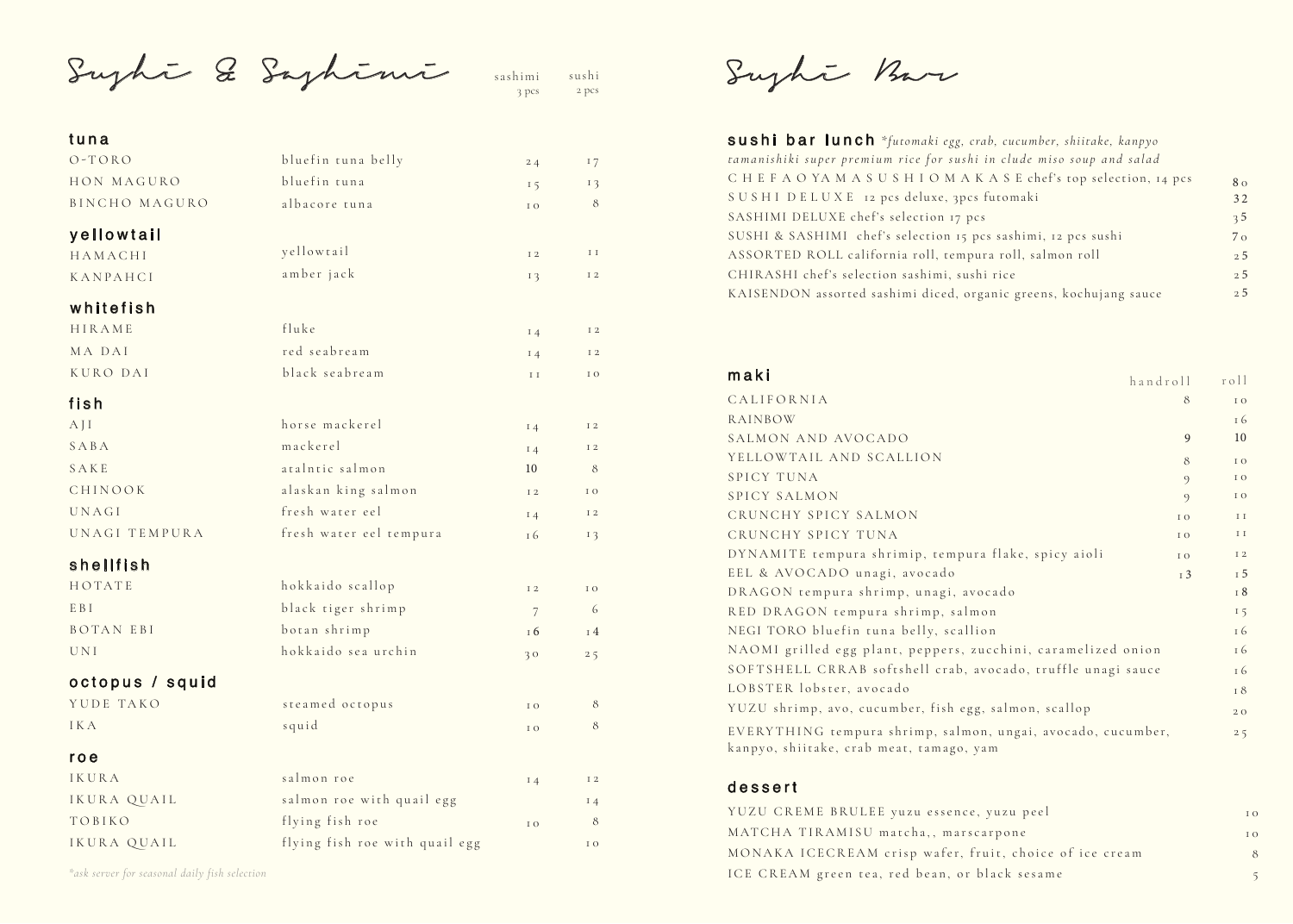Sushi & Sashimi

sushi 2 pcs sashimi 3 pcs

#### tuna

| .               |                                |               |                |
|-----------------|--------------------------------|---------------|----------------|
| $O - T O R O$   | bluefin tuna belly             | 24            | 17             |
| HON MAGURO      | bluefin tuna                   | 15            | 13             |
| BINCHO MAGURO   | albacore tuna                  | I O           | 8              |
| yellowtail      |                                |               |                |
| HAMACHI         | yellowtail                     | I 2           | I I            |
| KANPAHCI        | amber jack                     | 13            | I 2            |
| whitefish       |                                |               |                |
| HIRAME          | fluke                          | $I_4$         | I 2            |
| MA DAI          | red seabream                   | $I_4$         | I 2            |
| KURO DAI        | black seabream                 | $\;$ I $\;$   | I O            |
| fish            |                                |               |                |
| AJI             | horse mackerel                 | $I_4$         | I 2            |
| SABA            | mackerel                       | $I_4$         | I 2            |
| SAKE            | atalntic salmon                | 10            | 8              |
| CHINOOK         | alaskan king salmon            | I 2           | I O            |
| UNAGI           | fresh water eel                | 14            | I 2            |
| UNAGI TEMPURA   | fresh water eel tempura        | 16            | 13             |
| shellfish       |                                |               |                |
| HOTATE          | hokkaido scallop               | I 2           | I O            |
| E B I           | black tiger shrimp             | 7             | 6              |
| BOTAN EBI       | botan shrimp                   | <sup>16</sup> | <sup>14</sup>  |
| <b>UNI</b>      | hokkaido sea urchin            | 30            | 25             |
| octopus / squid |                                |               |                |
| YUDE TAKO       | steamed octopus                | I O           | 8              |
| I K A           | squid                          | $\rm I$ O     | 8              |
| roe             |                                |               |                |
| IKURA           | salmon roe                     | $I_4$         | I <sub>2</sub> |
| IKURA QUAIL     | salmon roe with quail egg      |               | 14             |
| TOBIKO          | flying fish roe                | I O           | 8              |
| IKURA QUAIL     | flying fish roe with quail egg |               | I O            |

*\*ask server for seasonal daily fish selection*

Sughi Bar

| sushi bar lunch *futomaki egg, crab, cucumber, shiitake, kanpyo       |                |
|-----------------------------------------------------------------------|----------------|
| tamanishiki super premium rice for sushi in clude miso soup and salad |                |
| CHEFAOYAMASUSHIOMAKASE chef's top selection, 14 pcs                   | 8 <sub>0</sub> |
| SUSHI DELUXE 12 pcs deluxe, 3pcs futomaki                             | 32             |
| SASHIMI DELUXE chef's selection 17 pcs                                | 3 <sub>5</sub> |
| SUSHI & SASHIMI chef's selection 15 pcs sashimi, 12 pcs sushi         | $7\,\sigma$    |
| ASSORTED ROLL california roll, tempura roll, salmon roll              | 2.5            |
| CHIRASHI chef's selection sashimi, sushi rice                         | 2.5            |
| KAISENDON assorted sashimi diced, organic greens, kochujang sauce     | 2.5            |
|                                                                       |                |

| maki<br>handroll                                                                                         |         | roll           |
|----------------------------------------------------------------------------------------------------------|---------|----------------|
| CALIFORNIA                                                                                               | 8       | I O            |
| RAINBOW                                                                                                  |         | I6             |
| SALMON AND AVOCADO                                                                                       | 9       | 10             |
| YELLOWTAIL AND SCALLION                                                                                  | 8       | I O            |
| SPICY TUNA                                                                                               | $\circ$ | I O            |
| SPICY SALMON                                                                                             | $\circ$ | I O            |
| CRUNCHY SPICY SALMON                                                                                     | I O     | $\;$ I $\;$ I  |
| CRUNCHY SPICY TUNA                                                                                       | I O     | $\rm I\ I$     |
| DYNAMITE tempura shrimip, tempura flake, spicy aioli                                                     | I O     | I <sub>2</sub> |
| EEL & AVOCADO unagi, avocado                                                                             | I 3     | I 5            |
| DRAGON tempura shrimp, unagi, avocado                                                                    |         | I 8            |
| RED DRAGON tempura shrimp, salmon                                                                        |         | 15             |
| NEGI TORO bluefin tuna belly, scallion                                                                   |         | I6             |
| NAOMI grilled egg plant, peppers, zucchini, caramelized onion                                            |         | I6             |
| SOFTSHELL CRRAB softshell crab, avocado, truffle unagi sauce                                             |         | I 6            |
| LOBSTER lobster, avocado                                                                                 |         | I 8            |
| YUZU shrimp, avo, cucumber, fish egg, salmon, scallop                                                    |         | 20             |
| EVERYTHING tempura shrimp, salmon, ungai, avocado, cucumber,<br>kanpyo, shiitake, crab meat, tamago, yam |         | 25             |

### dessert

| YUZU CREME BRULEE yuzu essence, yuzu peel               | T O |
|---------------------------------------------------------|-----|
| MATCHA TIRAMISU matcha,, marscarpone                    | 1 O |
| MONAKA ICECREAM crisp wafer, fruit, choice of ice cream | 8   |
| ICE CREAM green tea, red bean, or black sesame          |     |